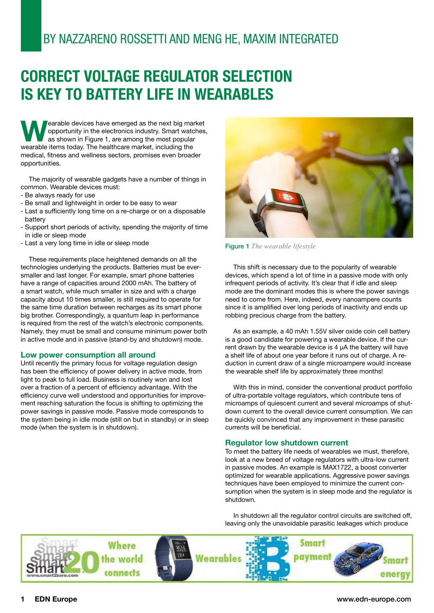# BY NAZZARENO ROSSETTI AND MENG HE, MAXIM INTEGRATED

# **CORRECT VOLTAGE REGULATOR SELECTION IS KEY TO BATTERY LIFE IN WEARABLES**

**Wearable devices have emerged as the next big market**<br>
as shown in Figure 1, are among the most popular<br>
wearable items today. The healthcare market, including the opportunity in the electronics industry. Smart watches, as shown in Figure 1, are among the most popular medical, fitness and wellness sectors, promises even broader opportunities.

The majority of wearable gadgets have a number of things in common. Wearable devices must:

- Be always ready for use
- Be small and lightweight in order to be easy to wear
- Last a sufficiently long time on a re-charge or on a disposable battery
- Support short periods of activity, spending the majority of time in idle or sleep mode
- Last a very long time in idle or sleep mode

These requirements place heightened demands on all the technologies underlying the products. Batteries must be eversmaller and last longer. For example, smart phone batteries have a range of capacities around 2000 mAh. The battery of a smart watch, while much smaller in size and with a charge capacity about 10 times smaller, is still required to operate for the same time duration between recharges as its smart phone big brother. Correspondingly, a quantum leap in performance is required from the rest of the watch's electronic components. Namely, they must be small and consume minimum power both in active mode and in passive (stand-by and shutdown) mode.

#### **Low power consumption all around**

Until recently the primary focus for voltage regulation design has been the efficiency of power delivery in active mode, from light to peak to full load. Business is routinely won and lost over a fraction of a percent of efficiency advantage. With the efficiency curve well understood and opportunities for improvement reaching saturation the focus is shifting to optimizing the power savings in passive mode. Passive mode corresponds to the system being in idle mode (still on but in standby) or in sleep mode (when the system is in shutdown).



Figure 1 *The wearable lifestyle*

This shift is necessary due to the popularity of wearable devices, which spend a lot of time in a passive mode with only infrequent periods of activity. It's clear that if idle and sleep mode are the dominant modes this is where the power savings need to come from. Here, indeed, every nanoampere counts since it is amplified over long periods of inactivity and ends up robbing precious charge from the battery.

As an example, a 40 mAh 1.55V silver oxide coin cell battery is a good candidate for powering a wearable device. If the current drawn by the wearable device is 4 µA the battery will have a shelf life of about one year before it runs out of charge. A reduction in current draw of a single microampere would increase the wearable shelf life by approximately three months!

With this in mind, consider the conventional product portfolio of ultra-portable voltage regulators, which contribute tens of microamps of quiescent current and several microamps of shutdown current to the overall device current consumption. We can be quickly convinced that any improvement in these parasitic currents will be beneficial.

#### **Regulator low shutdown current**

To meet the battery life needs of wearables we must, therefore, look at a new breed of voltage regulators with ultra-low current in passive modes. An example is MAX1722, a boost converter optimized for wearable applications. Aggressive power savings techniques have been employed to minimize the current consumption when the system is in sleep mode and the regulator is shutdown.

In shutdown all the regulator control circuits are switched off, leaving only the unavoidable parasitic leakages which produce



#### **1 EDN Europe** www.edn-europe.com